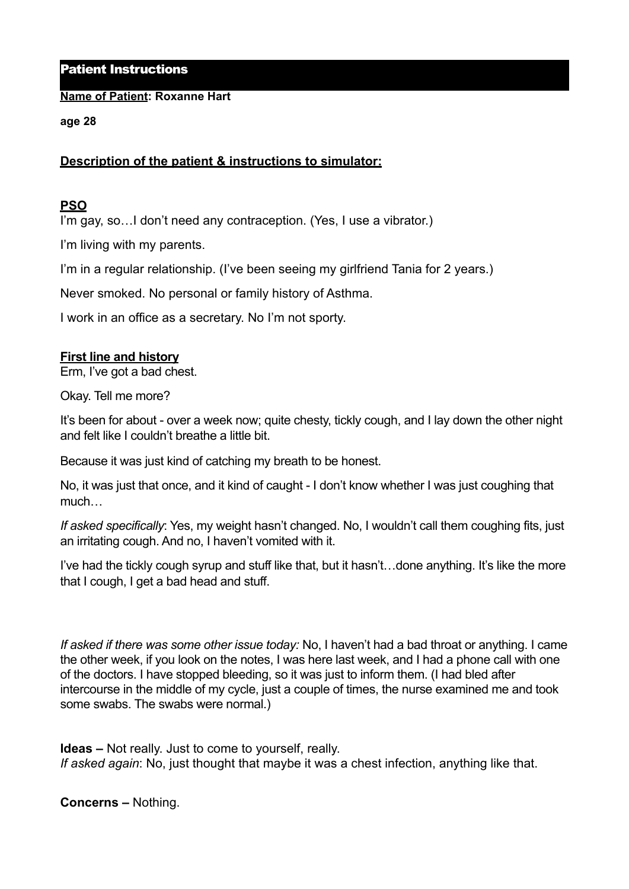## Patient Instructions

### **Name of Patient: Roxanne Hart**

### **age 28**

# **Description of the patient & instructions to simulator:**

## **PSO**

I'm gay, so... I don't need any contraception. (Yes, I use a vibrator.)

I'm living with my parents.

I'm in a regular relationship. (I've been seeing my girlfriend Tania for 2 years.)

Never smoked. No personal or family history of Asthma.

I work in an office as a secretary. No I'm not sporty.

### **First line and history**

Erm, I've got a bad chest.

Okay. Tell me more?

It's been for about - over a week now; quite chesty, tickly cough, and I lay down the other night and felt like I couldn't breathe a little bit.

Because it was just kind of catching my breath to be honest.

No, it was just that once, and it kind of caught - I don't know whether I was just coughing that much…

*If asked specifically*: Yes, my weight hasn't changed. No, I wouldn't call them coughing fits, just an irritating cough. And no, I haven't vomited with it.

I've had the tickly cough syrup and stuff like that, but it hasn't…done anything. It's like the more that I cough, I get a bad head and stuff.

*If asked if there was some other issue today:* No, I haven't had a bad throat or anything. I came the other week, if you look on the notes, I was here last week, and I had a phone call with one of the doctors. I have stopped bleeding, so it was just to inform them. (I had bled after intercourse in the middle of my cycle, just a couple of times, the nurse examined me and took some swabs. The swabs were normal.)

**Ideas –** Not really. Just to come to yourself, really. *If asked again*: No, just thought that maybe it was a chest infection, anything like that.

**Concerns –** Nothing.